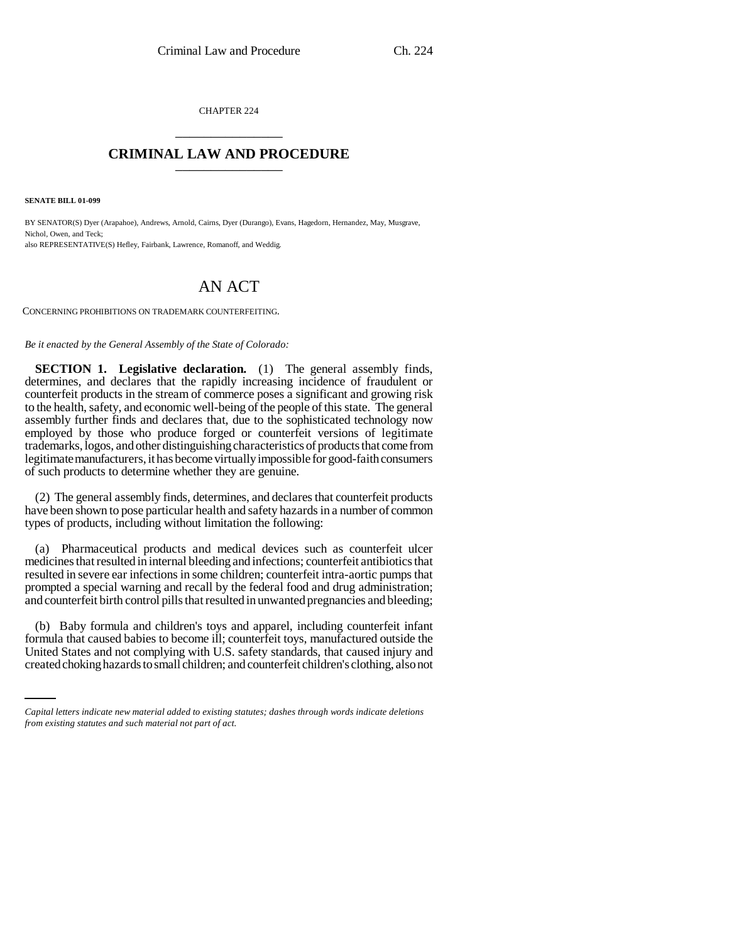CHAPTER 224 \_\_\_\_\_\_\_\_\_\_\_\_\_\_\_

## **CRIMINAL LAW AND PROCEDURE** \_\_\_\_\_\_\_\_\_\_\_\_\_\_\_

**SENATE BILL 01-099**

BY SENATOR(S) Dyer (Arapahoe), Andrews, Arnold, Cairns, Dyer (Durango), Evans, Hagedorn, Hernandez, May, Musgrave, Nichol, Owen, and Teck; also REPRESENTATIVE(S) Hefley, Fairbank, Lawrence, Romanoff, and Weddig.

## AN ACT

CONCERNING PROHIBITIONS ON TRADEMARK COUNTERFEITING.

*Be it enacted by the General Assembly of the State of Colorado:*

**SECTION 1. Legislative declaration.** (1) The general assembly finds, determines, and declares that the rapidly increasing incidence of fraudulent or counterfeit products in the stream of commerce poses a significant and growing risk to the health, safety, and economic well-being of the people of this state. The general assembly further finds and declares that, due to the sophisticated technology now employed by those who produce forged or counterfeit versions of legitimate trademarks, logos, and other distinguishing characteristics of products that come from legitimate manufacturers, it has become virtually impossible for good-faith consumers of such products to determine whether they are genuine.

(2) The general assembly finds, determines, and declares that counterfeit products have been shown to pose particular health and safety hazards in a number of common types of products, including without limitation the following:

(a) Pharmaceutical products and medical devices such as counterfeit ulcer medicines that resulted in internal bleeding and infections; counterfeit antibiotics that resulted in severe ear infections in some children; counterfeit intra-aortic pumps that prompted a special warning and recall by the federal food and drug administration; and counterfeit birth control pills that resulted in unwanted pregnancies and bleeding;

formula that caused babies to become ill; counterfeit toys, manufactured outside the (b) Baby formula and children's toys and apparel, including counterfeit infant United States and not complying with U.S. safety standards, that caused injury and created choking hazards to small children; and counterfeit children's clothing, also not

*Capital letters indicate new material added to existing statutes; dashes through words indicate deletions from existing statutes and such material not part of act.*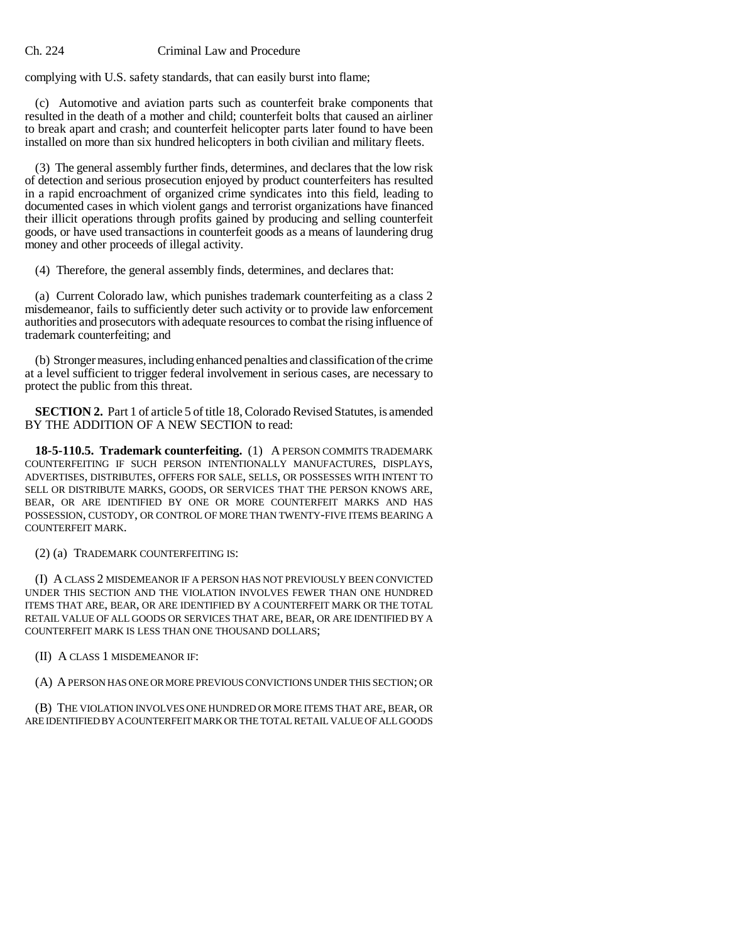## Ch. 224 Criminal Law and Procedure

complying with U.S. safety standards, that can easily burst into flame;

(c) Automotive and aviation parts such as counterfeit brake components that resulted in the death of a mother and child; counterfeit bolts that caused an airliner to break apart and crash; and counterfeit helicopter parts later found to have been installed on more than six hundred helicopters in both civilian and military fleets.

(3) The general assembly further finds, determines, and declares that the low risk of detection and serious prosecution enjoyed by product counterfeiters has resulted in a rapid encroachment of organized crime syndicates into this field, leading to documented cases in which violent gangs and terrorist organizations have financed their illicit operations through profits gained by producing and selling counterfeit goods, or have used transactions in counterfeit goods as a means of laundering drug money and other proceeds of illegal activity.

(4) Therefore, the general assembly finds, determines, and declares that:

(a) Current Colorado law, which punishes trademark counterfeiting as a class 2 misdemeanor, fails to sufficiently deter such activity or to provide law enforcement authorities and prosecutors with adequate resources to combat the rising influence of trademark counterfeiting; and

(b) Stronger measures, including enhanced penalties and classification of the crime at a level sufficient to trigger federal involvement in serious cases, are necessary to protect the public from this threat.

**SECTION 2.** Part 1 of article 5 of title 18, Colorado Revised Statutes, is amended BY THE ADDITION OF A NEW SECTION to read:

**18-5-110.5. Trademark counterfeiting.** (1) A PERSON COMMITS TRADEMARK COUNTERFEITING IF SUCH PERSON INTENTIONALLY MANUFACTURES, DISPLAYS, ADVERTISES, DISTRIBUTES, OFFERS FOR SALE, SELLS, OR POSSESSES WITH INTENT TO SELL OR DISTRIBUTE MARKS, GOODS, OR SERVICES THAT THE PERSON KNOWS ARE, BEAR, OR ARE IDENTIFIED BY ONE OR MORE COUNTERFEIT MARKS AND HAS POSSESSION, CUSTODY, OR CONTROL OF MORE THAN TWENTY-FIVE ITEMS BEARING A COUNTERFEIT MARK.

(2) (a) TRADEMARK COUNTERFEITING IS:

(I) A CLASS 2 MISDEMEANOR IF A PERSON HAS NOT PREVIOUSLY BEEN CONVICTED UNDER THIS SECTION AND THE VIOLATION INVOLVES FEWER THAN ONE HUNDRED ITEMS THAT ARE, BEAR, OR ARE IDENTIFIED BY A COUNTERFEIT MARK OR THE TOTAL RETAIL VALUE OF ALL GOODS OR SERVICES THAT ARE, BEAR, OR ARE IDENTIFIED BY A COUNTERFEIT MARK IS LESS THAN ONE THOUSAND DOLLARS;

(II) A CLASS 1 MISDEMEANOR IF:

(A) A PERSON HAS ONE OR MORE PREVIOUS CONVICTIONS UNDER THIS SECTION; OR

(B) THE VIOLATION INVOLVES ONE HUNDRED OR MORE ITEMS THAT ARE, BEAR, OR ARE IDENTIFIED BY A COUNTERFEIT MARK OR THE TOTAL RETAIL VALUE OF ALL GOODS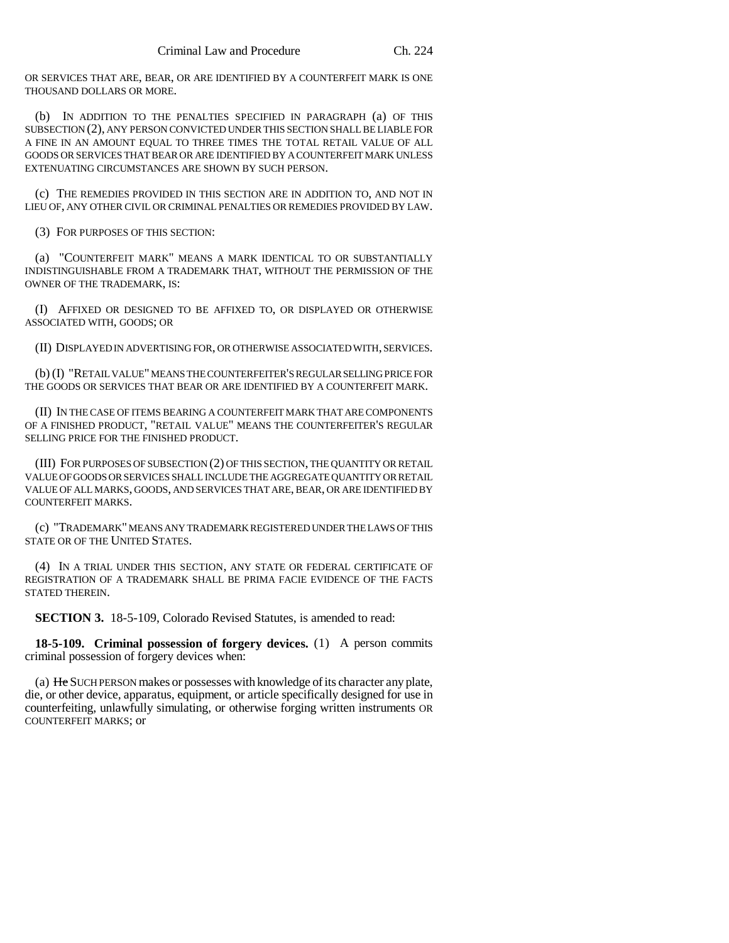OR SERVICES THAT ARE, BEAR, OR ARE IDENTIFIED BY A COUNTERFEIT MARK IS ONE THOUSAND DOLLARS OR MORE.

(b) IN ADDITION TO THE PENALTIES SPECIFIED IN PARAGRAPH (a) OF THIS SUBSECTION (2), ANY PERSON CONVICTED UNDER THIS SECTION SHALL BE LIABLE FOR A FINE IN AN AMOUNT EQUAL TO THREE TIMES THE TOTAL RETAIL VALUE OF ALL GOODS OR SERVICES THAT BEAR OR ARE IDENTIFIED BY A COUNTERFEIT MARK UNLESS EXTENUATING CIRCUMSTANCES ARE SHOWN BY SUCH PERSON.

(c) THE REMEDIES PROVIDED IN THIS SECTION ARE IN ADDITION TO, AND NOT IN LIEU OF, ANY OTHER CIVIL OR CRIMINAL PENALTIES OR REMEDIES PROVIDED BY LAW.

(3) FOR PURPOSES OF THIS SECTION:

(a) "COUNTERFEIT MARK" MEANS A MARK IDENTICAL TO OR SUBSTANTIALLY INDISTINGUISHABLE FROM A TRADEMARK THAT, WITHOUT THE PERMISSION OF THE OWNER OF THE TRADEMARK, IS:

(I) AFFIXED OR DESIGNED TO BE AFFIXED TO, OR DISPLAYED OR OTHERWISE ASSOCIATED WITH, GOODS; OR

(II) DISPLAYED IN ADVERTISING FOR, OR OTHERWISE ASSOCIATED WITH, SERVICES.

(b) (I) "RETAIL VALUE" MEANS THE COUNTERFEITER'S REGULAR SELLING PRICE FOR THE GOODS OR SERVICES THAT BEAR OR ARE IDENTIFIED BY A COUNTERFEIT MARK.

(II) IN THE CASE OF ITEMS BEARING A COUNTERFEIT MARK THAT ARE COMPONENTS OF A FINISHED PRODUCT, "RETAIL VALUE" MEANS THE COUNTERFEITER'S REGULAR SELLING PRICE FOR THE FINISHED PRODUCT.

(III) FOR PURPOSES OF SUBSECTION (2) OF THIS SECTION, THE QUANTITY OR RETAIL VALUE OF GOODS OR SERVICES SHALL INCLUDE THE AGGREGATE QUANTITY OR RETAIL VALUE OF ALL MARKS, GOODS, AND SERVICES THAT ARE, BEAR, OR ARE IDENTIFIED BY COUNTERFEIT MARKS.

(c) "TRADEMARK" MEANS ANY TRADEMARK REGISTERED UNDER THE LAWS OF THIS STATE OR OF THE UNITED STATES.

(4) IN A TRIAL UNDER THIS SECTION, ANY STATE OR FEDERAL CERTIFICATE OF REGISTRATION OF A TRADEMARK SHALL BE PRIMA FACIE EVIDENCE OF THE FACTS STATED THEREIN.

**SECTION 3.** 18-5-109, Colorado Revised Statutes, is amended to read:

**18-5-109. Criminal possession of forgery devices.** (1) A person commits criminal possession of forgery devices when:

(a) He SUCH PERSON makes or possesses with knowledge of its character any plate, die, or other device, apparatus, equipment, or article specifically designed for use in counterfeiting, unlawfully simulating, or otherwise forging written instruments OR COUNTERFEIT MARKS; or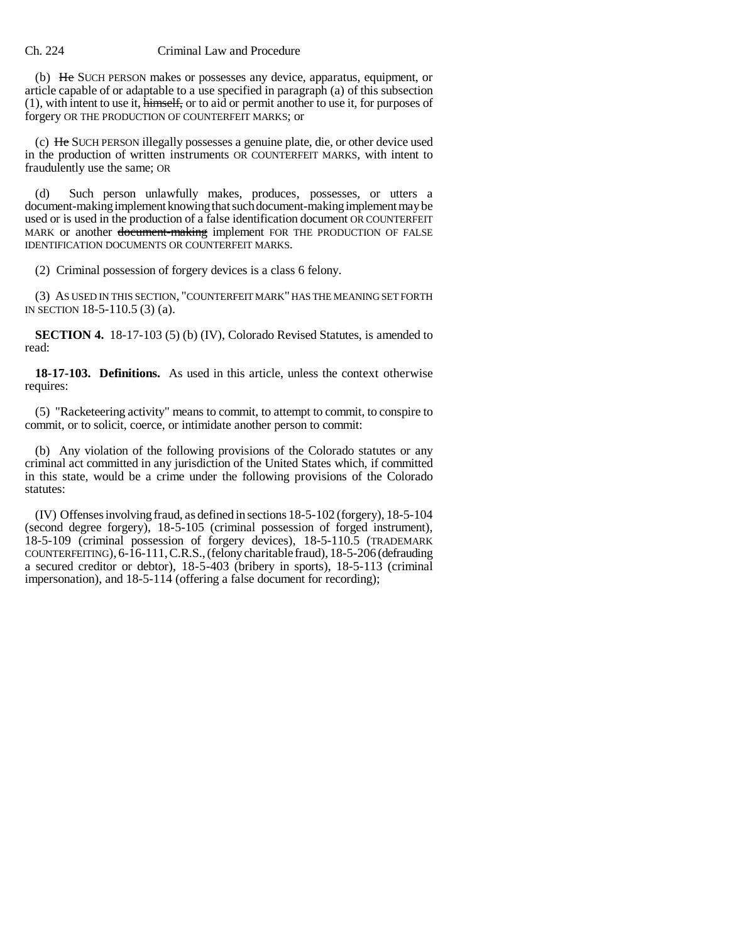## Ch. 224 Criminal Law and Procedure

(b) He SUCH PERSON makes or possesses any device, apparatus, equipment, or article capable of or adaptable to a use specified in paragraph (a) of this subsection (1), with intent to use it, himself, or to aid or permit another to use it, for purposes of forgery OR THE PRODUCTION OF COUNTERFEIT MARKS; or

(c) He SUCH PERSON illegally possesses a genuine plate, die, or other device used in the production of written instruments OR COUNTERFEIT MARKS, with intent to fraudulently use the same; OR

(d) Such person unlawfully makes, produces, possesses, or utters a document-making implement knowing that such document-making implement may be used or is used in the production of a false identification document OR COUNTERFEIT MARK or another document-making implement FOR THE PRODUCTION OF FALSE IDENTIFICATION DOCUMENTS OR COUNTERFEIT MARKS.

(2) Criminal possession of forgery devices is a class 6 felony.

(3) AS USED IN THIS SECTION, "COUNTERFEIT MARK" HAS THE MEANING SET FORTH IN SECTION 18-5-110.5 (3) (a).

**SECTION 4.** 18-17-103 (5) (b) (IV), Colorado Revised Statutes, is amended to read:

**18-17-103. Definitions.** As used in this article, unless the context otherwise requires:

(5) "Racketeering activity" means to commit, to attempt to commit, to conspire to commit, or to solicit, coerce, or intimidate another person to commit:

(b) Any violation of the following provisions of the Colorado statutes or any criminal act committed in any jurisdiction of the United States which, if committed in this state, would be a crime under the following provisions of the Colorado statutes:

(IV) Offenses involving fraud, as defined in sections 18-5-102 (forgery), 18-5-104 (second degree forgery), 18-5-105 (criminal possession of forged instrument), 18-5-109 (criminal possession of forgery devices), 18-5-110.5 (TRADEMARK COUNTERFEITING), 6-16-111, C.R.S., (felony charitable fraud), 18-5-206 (defrauding a secured creditor or debtor), 18-5-403 (bribery in sports), 18-5-113 (criminal impersonation), and 18-5-114 (offering a false document for recording);